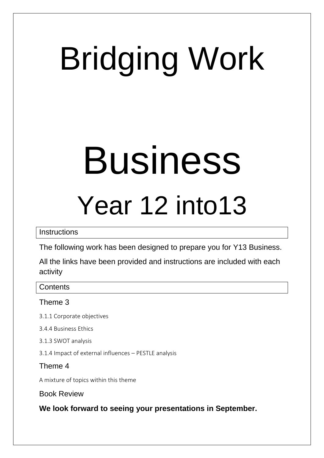# Bridging Work

## Business Year 12 into13

**Instructions** 

The following work has been designed to prepare you for Y13 Business.

All the links have been provided and instructions are included with each activity

**Contents** 

### Theme 3

- 3.1.1 Corporate objectives
- 3.4.4 Business Ethics
- 3.1.3 SWOT analysis
- 3.1.4 Impact of external influences PESTLE analysis

Theme 4

A mixture of topics within this theme

Book Review

**We look forward to seeing your presentations in September.**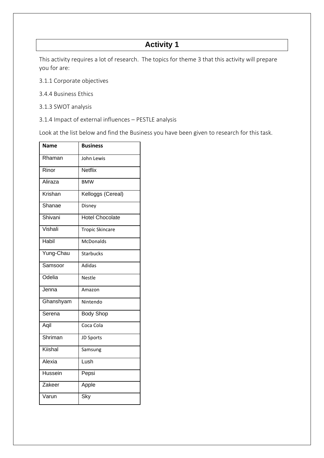This activity requires a lot of research. The topics for theme 3 that this activity will prepare you for are:

- 3.1.1 Corporate objectives
- 3.4.4 Business Ethics
- 3.1.3 SWOT analysis
- 3.1.4 Impact of external influences PESTLE analysis

Look at the list below and find the Business you have been given to research for this task.

| <b>Name</b>  | <b>Business</b>        |
|--------------|------------------------|
| Rhaman       | John Lewis             |
| Rinor        | <b>Netflix</b>         |
| Aliraza      | <b>BMW</b>             |
| Krishan      | Kelloggs (Cereal)      |
| Shanae       | Disney                 |
| Shivani      | <b>Hotel Chocolate</b> |
| Vishali      | <b>Tropic Skincare</b> |
| <b>Habil</b> | <b>McDonalds</b>       |
| Yung-Chau    | <b>Starbucks</b>       |
| Samsoor      | Adidas                 |
| Odelia       | <b>Nestle</b>          |
| Jenna        | Amazon                 |
| Ghanshyam    | Nintendo               |
| Serena       | <b>Body Shop</b>       |
| Aqil         | Coca Cola              |
| Shriman      | JD Sports              |
| Kiishal      | Samsung                |
| Alexia       | Lush                   |
| Hussein      | Pepsi                  |
| Zakeer       | Apple                  |
| Varun        | Sky                    |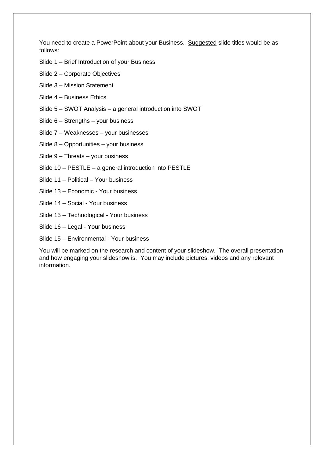You need to create a PowerPoint about your Business. Suggested slide titles would be as follows:

- Slide 1 Brief Introduction of your Business
- Slide 2 Corporate Objectives
- Slide 3 Mission Statement
- Slide 4 Business Ethics
- Slide 5 SWOT Analysis a general introduction into SWOT
- Slide 6 Strengths your business
- Slide 7 Weaknesses your businesses
- Slide 8 Opportunities your business
- Slide 9 Threats your business
- Slide 10 PESTLE a general introduction into PESTLE
- Slide 11 Political Your business
- Slide 13 Economic Your business
- Slide 14 Social Your business
- Slide 15 Technological Your business
- Slide 16 Legal Your business
- Slide 15 Environmental Your business

You will be marked on the research and content of your slideshow. The overall presentation and how engaging your slideshow is. You may include pictures, videos and any relevant information.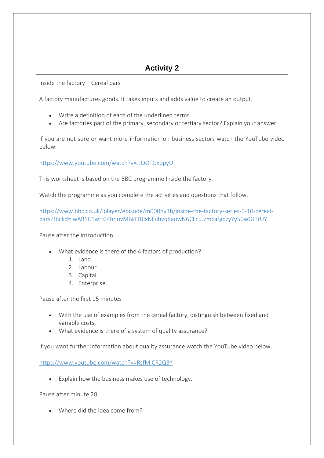Inside the factory – Cereal bars

A factory manufactures goods. It takes inputs and adds value to create an output.

- Write a definition of each of the underlined terms.
- Are factories part of the primary, secondary or tertiary sector? Explain your answer.

If you are not sure or want more information on business sectors watch the YouTube video below.

<https://www.youtube.com/watch?v=JJQOTGxqpyU>

This worksheet is based on the BBC programme Inside the factory.

Watch the programme as you complete the activities and questions that follow.

[https://www.bbc.co.uk/iplayer/episode/m000hy3b/inside-the-factory-series-5-10-cereal](https://www.bbc.co.uk/iplayer/episode/m000hy3b/inside-the-factory-series-5-10-cereal-bars?fbclid=IwAR1C1wtt04hnuvMBkFRJIxNEchvqKaowN6CLcuJzmcafgbzyYy50wGtTrUY)[bars?fbclid=IwAR1C1wtt04hnuvMBkFRJIxNEchvqKaowN6CLcuJzmcafgbzyYy50wGtTrUY](https://www.bbc.co.uk/iplayer/episode/m000hy3b/inside-the-factory-series-5-10-cereal-bars?fbclid=IwAR1C1wtt04hnuvMBkFRJIxNEchvqKaowN6CLcuJzmcafgbzyYy50wGtTrUY)

Pause after the introduction

- What evidence is there of the 4 factors of production?
	- 1. Land
	- 2. Labour
	- 3. Capital
	- 4. Enterprise

Pause after the first 15 minutes

- With the use of examples from the cereal factory, distinguish between fixed and variable costs.
- What evidence is there of a system of quality assurance?

If you want further information about quality assurance watch the YouTube video below.

<https://www.youtube.com/watch?v=RsfMiCR2Q3Y>

• Explain how the business makes use of technology.

Pause after minute 20.

• Where did the idea come from?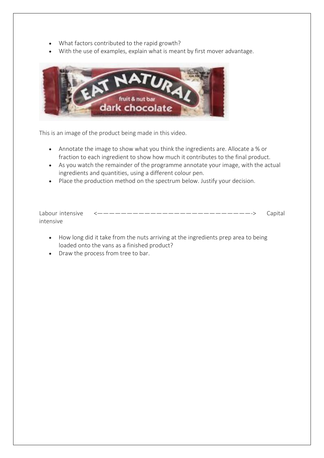- What factors contributed to the rapid growth?
- With the use of examples, explain what is meant by first mover advantage.



This is an image of the product being made in this video.

- Annotate the image to show what you think the ingredients are. Allocate a % or fraction to each ingredient to show how much it contributes to the final product.
- As you watch the remainder of the programme annotate your image, with the actual ingredients and quantities, using a different colour pen.
- Place the production method on the spectrum below. Justify your decision.

| intensive |  |
|-----------|--|

- How long did it take from the nuts arriving at the ingredients prep area to being loaded onto the vans as a finished product?
- Draw the process from tree to bar.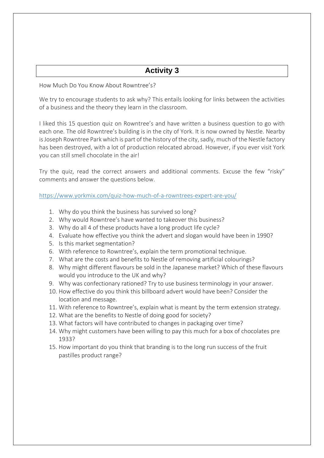How Much Do You Know About Rowntree's?

We try to encourage students to ask why? This entails looking for links between the activities of a business and the theory they learn in the classroom.

I liked this 15 question quiz on Rowntree's and have written a business question to go with each one. The old Rowntree's building is in the city of York. It is now owned by Nestle. Nearby is Joseph Rowntree Park which is part of the history of the city, sadly, much of the Nestle factory has been destroyed, with a lot of production relocated abroad. However, if you ever visit York you can still smell chocolate in the air!

Try the quiz, read the correct answers and additional comments. Excuse the few "risky" comments and answer the questions below.

<https://www.yorkmix.com/quiz-how-much-of-a-rowntrees-expert-are-you/>

- 1. Why do you think the business has survived so long?
- 2. Why would Rowntree's have wanted to takeover this business?
- 3. Why do all 4 of these products have a long product life cycle?
- 4. Evaluate how effective you think the advert and slogan would have been in 1990?
- 5. Is this market segmentation?
- 6. With reference to Rowntree's, explain the term promotional technique.
- 7. What are the costs and benefits to Nestle of removing artificial colourings?
- 8. Why might different flavours be sold in the Japanese market? Which of these flavours would you introduce to the UK and why?
- 9. Why was confectionary rationed? Try to use business terminology in your answer.
- 10. How effective do you think this billboard advert would have been? Consider the location and message.
- 11. With reference to Rowntree's, explain what is meant by the term extension strategy.
- 12. What are the benefits to Nestle of doing good for society?
- 13. What factors will have contributed to changes in packaging over time?
- 14. Why might customers have been willing to pay this much for a box of chocolates pre 1933?
- 15. How important do you think that branding is to the long run success of the fruit pastilles product range?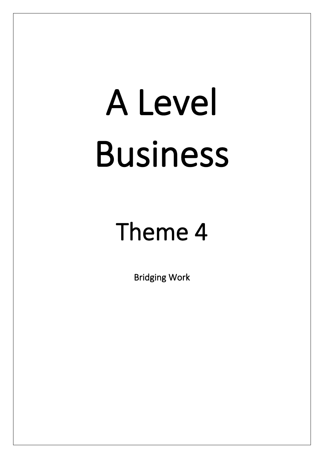# A Level Business

### Theme 4

Bridging Work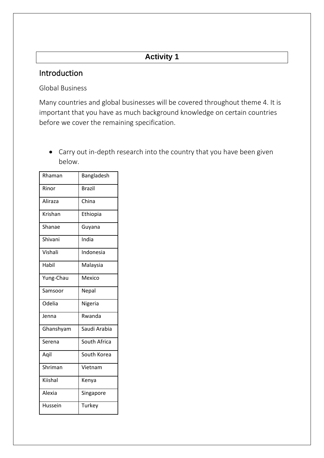### Introduction

Global Business

Many countries and global businesses will be covered throughout theme 4. It is important that you have as much background knowledge on certain countries before we cover the remaining specification.

• Carry out in-depth research into the country that you have been given below.

| Rhaman    | Bangladesh    |
|-----------|---------------|
| Rinor     | <b>Brazil</b> |
| Aliraza   | China         |
| Krishan   | Ethiopia      |
| Shanae    | Guyana        |
| Shivani   | India         |
| Vishali   | Indonesia     |
| Habil     | Malaysia      |
| Yung-Chau | Mexico        |
| Samsoor   | Nepal         |
| Odelia    | Nigeria       |
| Jenna     | Rwanda        |
| Ghanshyam | Saudi Arabia  |
| Serena    | South Africa  |
| Aqil      | South Korea   |
| Shriman   | Vietnam       |
| Kiishal   | Kenya         |
| Alexia    | Singapore     |
| Hussein   | Turkey        |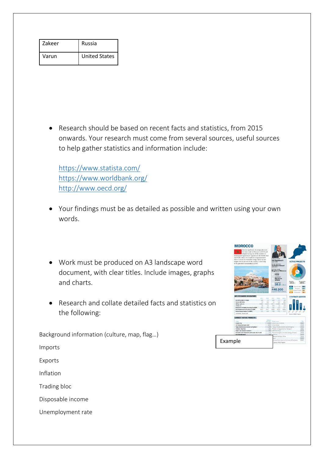| Zakeer | Russia               |
|--------|----------------------|
| Varun  | <b>United States</b> |

• Research should be based on recent facts and statistics, from 2015 onwards. Your research must come from several sources, useful sources to help gather statistics and information include:

<https://www.statista.com/> <https://www.worldbank.org/> <http://www.oecd.org/>

- Your findings must be as detailed as possible and written using your own words.
- Work must be produced on A3 landscape word document, with clear titles. Include images, graphs and charts.
- Research and collate detailed facts and statistics on the following:

Background information (culture, map, flag…)

Imports

Exports

Inflation

Trading bloc

Disposable income

Unemployment rate

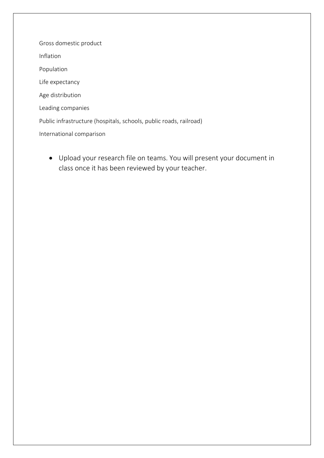Gross domestic product Inflation Population Life expectancy Age distribution Leading companies Public infrastructure (hospitals, schools, public roads, railroad) International comparison

• Upload your research file on teams. You will present your document in class once it has been reviewed by your teacher.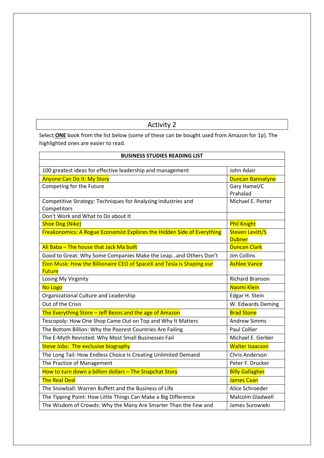Select **ONE** book from the list below (some of these can be bought used from Amazon for 1p). The highlighted ones are easier to read.

| <b>BUSINESS STUDIES READING LIST</b>                                   |                         |  |
|------------------------------------------------------------------------|-------------------------|--|
|                                                                        |                         |  |
| 100 greatest ideas for effective leadership and management             | John Adair              |  |
| <b>Anyone Can Do It: My Story</b>                                      | <b>Duncan Bannatyne</b> |  |
| Competing for the Future                                               | Gary Hamel/C            |  |
|                                                                        | Prahalad                |  |
| Competitive Strategy: Techniques for Analyzing industries and          | Michael E. Porter       |  |
| Competitors                                                            |                         |  |
| Don't Work and What to Do about It                                     |                         |  |
| <b>Shoe Dog (Nike)</b>                                                 | <b>Phil Knight</b>      |  |
| Freakonomics: A Rogue Economist Explores the Hidden Side of Everything | <b>Steven Levitt/S</b>  |  |
|                                                                        | <b>Dubner</b>           |  |
| Ali Baba - The house that Jack Ma built                                | <b>Duncan Clark</b>     |  |
| Good to Great: Why Some Companies Make the Leapand Others Don't        | <b>Jim Collins</b>      |  |
| Elon Musk: How the Billionaire CEO of SpaceX and Tesla is Shaping our  | <b>Ashlee Vance</b>     |  |
| <b>Future</b>                                                          |                         |  |
| Losing My Virginity                                                    | <b>Richard Branson</b>  |  |
| No Logo                                                                | Naomi Klein             |  |
| Organizational Culture and Leadership                                  | Edgar H. Stein          |  |
| Out of the Crisis                                                      | W. Edwards Deming       |  |
| The Everything Store - Jeff Bezos and the age of Amazon                | <b>Brad Stone</b>       |  |
| Tescopoly: How One Shop Came Out on Top and Why It Matters             | <b>Andrew Simms</b>     |  |
| The Bottom Billion: Why the Poorest Countries Are Failing              | <b>Paul Collier</b>     |  |
| The E-Myth Revisited: Why Most Small Businesses Fail                   | Michael E. Gerber       |  |
| Steve Jobs: The exclusive biography                                    | <b>Walter Isaacson</b>  |  |
| The Long Tail: How Endless Choice Is Creating Unlimited Demand         | <b>Chris Anderson</b>   |  |
| The Practice of Management                                             | Peter F. Drucker        |  |
| How to turn down a billion dollars - The Snapchat Story                | <b>Billy Gallagher</b>  |  |
| <b>The Real Deal</b>                                                   | James Caan              |  |
| The Snowball: Warren Buffett and the Business of Life                  | Alice Schroeder         |  |
| The Tipping Point: How Little Things Can Make a Big Difference         | <b>Malcolm Gladwell</b> |  |
| The Wisdom of Crowds: Why the Many Are Smarter Than the Few and        | James Surowieki         |  |